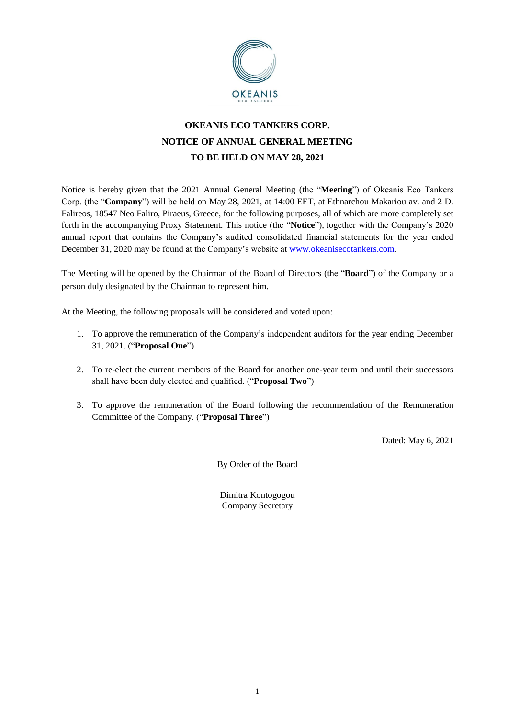

# **OKEANIS ECO TANKERS CORP. NOTICE OF ANNUAL GENERAL MEETING TO BE HELD ON MAY 28, 2021**

Notice is hereby given that the 2021 Annual General Meeting (the "**Meeting**") of Okeanis Eco Tankers Corp. (the "**Company**") will be held on May 28, 2021, at 14:00 EET, at Ethnarchou Makariou av. and 2 D. Falireos, 18547 Neo Faliro, Piraeus, Greece, for the following purposes, all of which are more completely set forth in the accompanying Proxy Statement. This notice (the "**Notice**"), together with the Company's 2020 annual report that contains the Company's audited consolidated financial statements for the year ended December 31, 2020 may be found at the Company's website at [www.okeanisecotankers.com.](http://www.okeanisecotankers.com/)

The Meeting will be opened by the Chairman of the Board of Directors (the "**Board**") of the Company or a person duly designated by the Chairman to represent him.

At the Meeting, the following proposals will be considered and voted upon:

- 1. To approve the remuneration of the Company's independent auditors for the year ending December 31, 2021. ("**Proposal One**")
- 2. To re-elect the current members of the Board for another one-year term and until their successors shall have been duly elected and qualified. ("**Proposal Two**")
- 3. To approve the remuneration of the Board following the recommendation of the Remuneration Committee of the Company. ("**Proposal Three**")

Dated: May 6, 2021

By Order of the Board

Dimitra Kontogogou Company Secretary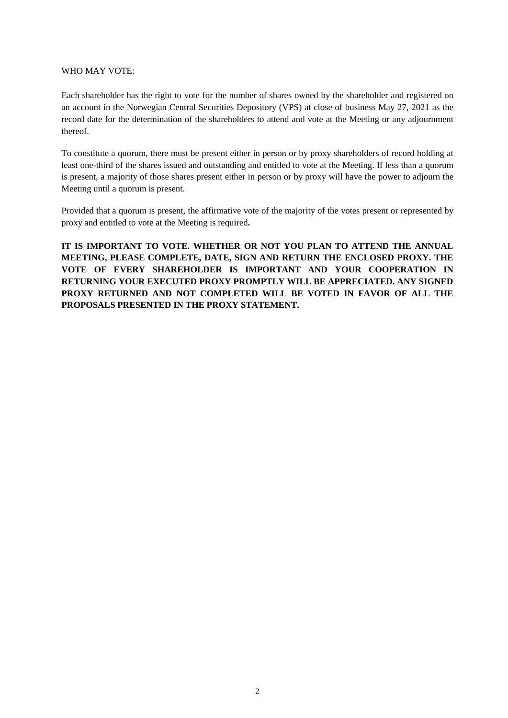### WHO MAY VOTE:

Each shareholder has the right to vote for the number of shares owned by the shareholder and registered on an account in the Norwegian Central Securities Depository (VPS) at close of business May 27, 2021 as the record date for the determination of the shareholders to attend and vote at the Meeting or any adjournment thereof.

To constitute a quorum, there must be present either in person or by proxy shareholders of record holding at least one-third of the shares issued and outstanding and entitled to vote at the Meeting. If less than a quorum is present, a majority of those shares present either in person or by proxy will have the power to adjourn the Meeting until a quorum is present.

Provided that a quorum is present, the affirmative vote of the majority of the votes present or represented by proxy and entitled to vote at the Meeting is required**.**

**IT IS IMPORTANT TO VOTE. WHETHER OR NOT YOU PLAN TO ATTEND THE ANNUAL MEETING, PLEASE COMPLETE, DATE, SIGN AND RETURN THE ENCLOSED PROXY. THE VOTE OF EVERY SHAREHOLDER IS IMPORTANT AND YOUR COOPERATION IN RETURNING YOUR EXECUTED PROXY PROMPTLY WILL BE APPRECIATED. ANY SIGNED PROXY RETURNED AND NOT COMPLETED WILL BE VOTED IN FAVOR OF ALL THE PROPOSALS PRESENTED IN THE PROXY STATEMENT.**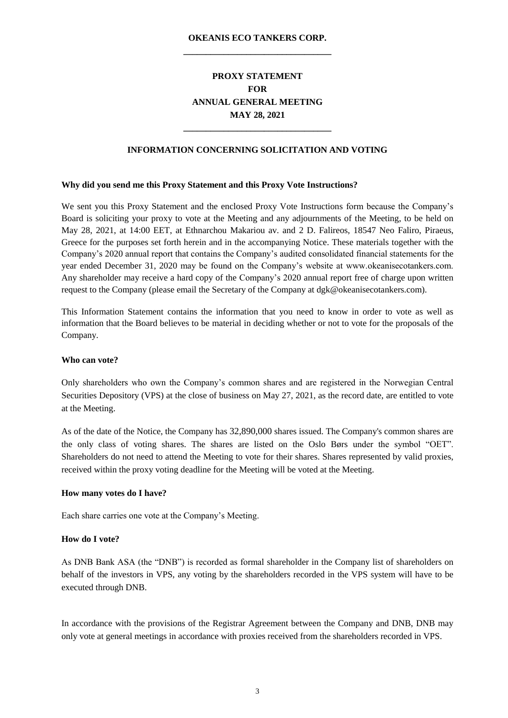### **OKEANIS ECO TANKERS CORP. \_\_\_\_\_\_\_\_\_\_\_\_\_\_\_\_\_\_\_\_\_\_\_\_\_\_\_\_\_\_\_\_\_**

## **PROXY STATEMENT FOR ANNUAL GENERAL MEETING MAY 28, 2021**

#### **INFORMATION CONCERNING SOLICITATION AND VOTING**

**\_\_\_\_\_\_\_\_\_\_\_\_\_\_\_\_\_\_\_\_\_\_\_\_\_\_\_\_\_\_\_\_\_**

#### **Why did you send me this Proxy Statement and this Proxy Vote Instructions?**

We sent you this Proxy Statement and the enclosed Proxy Vote Instructions form because the Company's Board is soliciting your proxy to vote at the Meeting and any adjournments of the Meeting, to be held on May 28, 2021, at 14:00 EET, at Ethnarchou Makariou av. and 2 D. Falireos, 18547 Neo Faliro, Piraeus, Greece for the purposes set forth herein and in the accompanying Notice. These materials together with the Company's 2020 annual report that contains the Company's audited consolidated financial statements for the year ended December 31, 2020 may be found on the Company's website at www.okeanisecotankers.com. Any shareholder may receive a hard copy of the Company's 2020 annual report free of charge upon written request to the Company (please email the Secretary of the Company at dgk@okeanisecotankers.com).

This Information Statement contains the information that you need to know in order to vote as well as information that the Board believes to be material in deciding whether or not to vote for the proposals of the Company.

#### **Who can vote?**

Only shareholders who own the Company's common shares and are registered in the Norwegian Central Securities Depository (VPS) at the close of business on May 27, 2021, as the record date, are entitled to vote at the Meeting.

As of the date of the Notice, the Company has 32,890,000 shares issued. The Company's common shares are the only class of voting shares. The shares are listed on the Oslo Børs under the symbol "OET". Shareholders do not need to attend the Meeting to vote for their shares. Shares represented by valid proxies, received within the proxy voting deadline for the Meeting will be voted at the Meeting.

#### **How many votes do I have?**

Each share carries one vote at the Company's Meeting.

#### **How do I vote?**

As DNB Bank ASA (the "DNB") is recorded as formal shareholder in the Company list of shareholders on behalf of the investors in VPS, any voting by the shareholders recorded in the VPS system will have to be executed through DNB.

In accordance with the provisions of the Registrar Agreement between the Company and DNB, DNB may only vote at general meetings in accordance with proxies received from the shareholders recorded in VPS.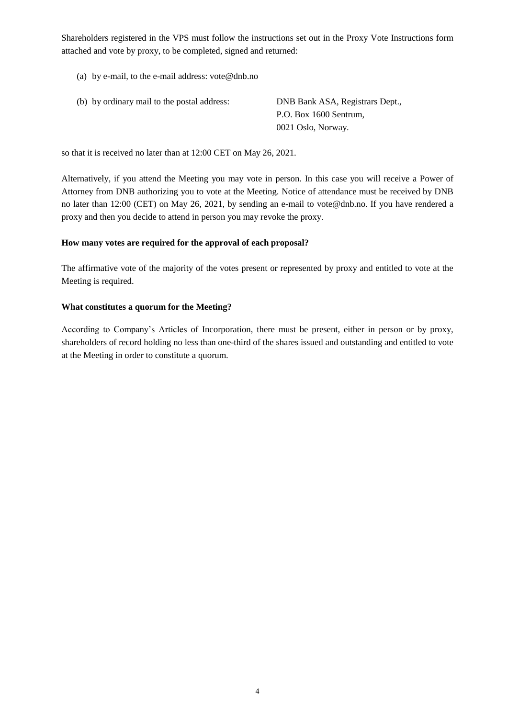Shareholders registered in the VPS must follow the instructions set out in the Proxy Vote Instructions form attached and vote by proxy, to be completed, signed and returned:

- (a) by e-mail, to the e-mail address: [vote@dnb.no](mailto:vote@dnb.no)
- (b) by ordinary mail to the postal address: DNB Bank ASA, Registrars Dept., P.O. Box 1600 Sentrum, 0021 Oslo, Norway.

so that it is received no later than at 12:00 CET on May 26, 2021.

Alternatively, if you attend the Meeting you may vote in person. In this case you will receive a Power of Attorney from DNB authorizing you to vote at the Meeting. Notice of attendance must be received by DNB no later than 12:00 (CET) on May 26, 2021, by sending an e-mail to [vote@dnb.no.](mailto:vote@dnb.no) If you have rendered a proxy and then you decide to attend in person you may revoke the proxy.

#### **How many votes are required for the approval of each proposal?**

The affirmative vote of the majority of the votes present or represented by proxy and entitled to vote at the Meeting is required.

#### **What constitutes a quorum for the Meeting?**

According to Company's Articles of Incorporation, there must be present, either in person or by proxy, shareholders of record holding no less than one-third of the shares issued and outstanding and entitled to vote at the Meeting in order to constitute a quorum.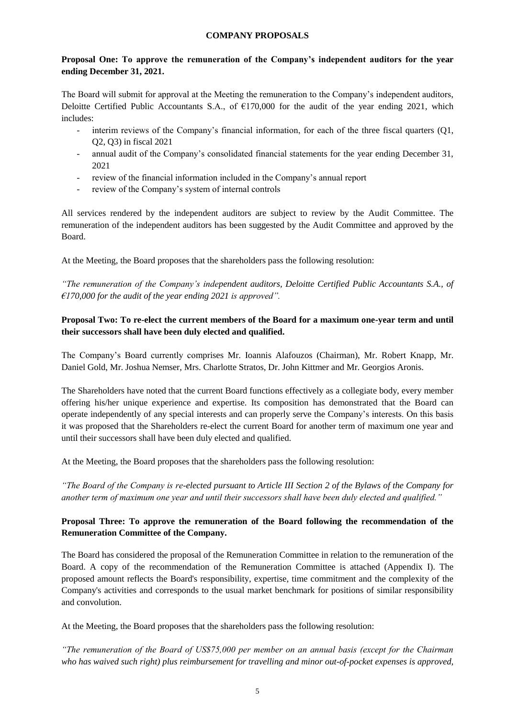#### **COMPANY PROPOSALS**

### **Proposal One: To approve the remuneration of the Company's independent auditors for the year ending December 31, 2021.**

The Board will submit for approval at the Meeting the remuneration to the Company's independent auditors, Deloitte Certified Public Accountants S.A., of  $E170,000$  for the audit of the year ending 2021, which includes:

- interim reviews of the Company's financial information, for each of the three fiscal quarters (Q1, Q2, Q3) in fiscal 2021
- annual audit of the Company's consolidated financial statements for the year ending December 31, 2021
- review of the financial information included in the Company's annual report
- review of the Company's system of internal controls

All services rendered by the independent auditors are subject to review by the Audit Committee. The remuneration of the independent auditors has been suggested by the Audit Committee and approved by the Board.

At the Meeting, the Board proposes that the shareholders pass the following resolution:

*"The remuneration of the Company's independent auditors, Deloitte Certified Public Accountants S.A., of €170,000 for the audit of the year ending 2021 is approved".*

### **Proposal Two: To re-elect the current members of the Board for a maximum one-year term and until their successors shall have been duly elected and qualified.**

The Company's Board currently comprises Mr. Ioannis Alafouzos (Chairman), Mr. Robert Knapp, Mr. Daniel Gold, Mr. Joshua Nemser, Mrs. Charlotte Stratos, Dr. John Kittmer and Mr. Georgios Aronis.

The Shareholders have noted that the current Board functions effectively as a collegiate body, every member offering his/her unique experience and expertise. Its composition has demonstrated that the Board can operate independently of any special interests and can properly serve the Company's interests. On this basis it was proposed that the Shareholders re-elect the current Board for another term of maximum one year and until their successors shall have been duly elected and qualified.

At the Meeting, the Board proposes that the shareholders pass the following resolution:

*"The Board of the Company is re-elected pursuant to Article III Section 2 of the Bylaws of the Company for another term of maximum one year and until their successors shall have been duly elected and qualified."* 

### **Proposal Three: To approve the remuneration of the Board following the recommendation of the Remuneration Committee of the Company.**

The Board has considered the proposal of the Remuneration Committee in relation to the remuneration of the Board. A copy of the recommendation of the Remuneration Committee is attached (Appendix I). The proposed amount reflects the Board's responsibility, expertise, time commitment and the complexity of the Company's activities and corresponds to the usual market benchmark for positions of similar responsibility and convolution.

At the Meeting, the Board proposes that the shareholders pass the following resolution:

*"The remuneration of the Board of US\$75,000 per member on an annual basis (except for the Chairman who has waived such right) plus reimbursement for travelling and minor out-of-pocket expenses is approved,*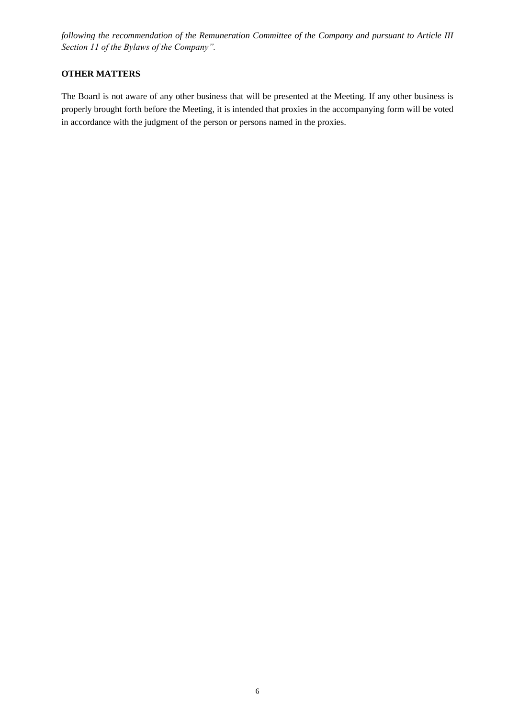*following the recommendation of the Remuneration Committee of the Company and pursuant to Article III Section 11 of the Bylaws of the Company".*

### **OTHER MATTERS**

The Board is not aware of any other business that will be presented at the Meeting. If any other business is properly brought forth before the Meeting, it is intended that proxies in the accompanying form will be voted in accordance with the judgment of the person or persons named in the proxies.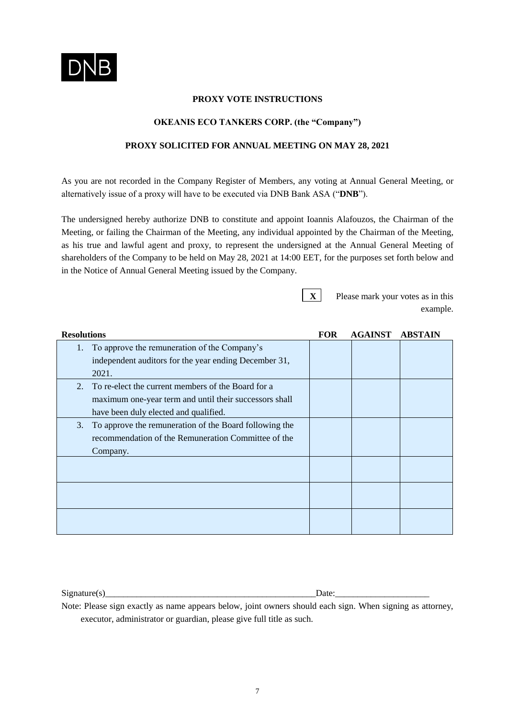

### **PROXY VOTE INSTRUCTIONS**

#### **OKEANIS ECO TANKERS CORP. (the "Company")**

### **PROXY SOLICITED FOR ANNUAL MEETING ON MAY 28, 2021**

As you are not recorded in the Company Register of Members, any voting at Annual General Meeting, or alternatively issue of a proxy will have to be executed via DNB Bank ASA ("**DNB**").

The undersigned hereby authorize DNB to constitute and appoint Ioannis Alafouzos, the Chairman of the Meeting, or failing the Chairman of the Meeting, any individual appointed by the Chairman of the Meeting, as his true and lawful agent and proxy, to represent the undersigned at the Annual General Meeting of shareholders of the Company to be held on May 28, 2021 at 14:00 EET, for the purposes set forth below and in the Notice of Annual General Meeting issued by the Company.

**X** Please mark your votes as in this example.

| <b>Resolutions</b>                                           | <b>FOR</b> | <b>AGAINST</b> | <b>ABSTAIN</b> |
|--------------------------------------------------------------|------------|----------------|----------------|
| To approve the remuneration of the Company's<br>1.           |            |                |                |
| independent auditors for the year ending December 31,        |            |                |                |
| 2021.                                                        |            |                |                |
| To re-elect the current members of the Board for a<br>2.     |            |                |                |
| maximum one-year term and until their successors shall       |            |                |                |
| have been duly elected and qualified.                        |            |                |                |
| To approve the remuneration of the Board following the<br>3. |            |                |                |
| recommendation of the Remuneration Committee of the          |            |                |                |
| Company.                                                     |            |                |                |
|                                                              |            |                |                |
|                                                              |            |                |                |
|                                                              |            |                |                |
|                                                              |            |                |                |
|                                                              |            |                |                |
|                                                              |            |                |                |

Signature(s) Date:

Note: Please sign exactly as name appears below, joint owners should each sign. When signing as attorney, executor, administrator or guardian, please give full title as such.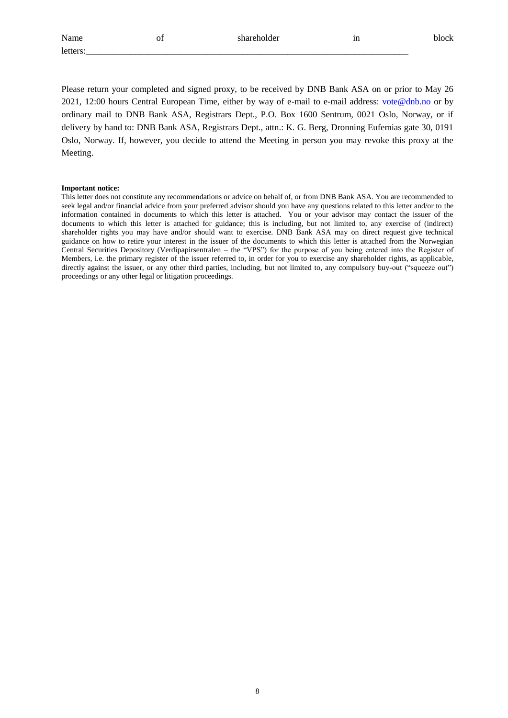| Name    | ΟÌ | سماط مماميين<br>ue.<br>. | --<br>ш |  |
|---------|----|--------------------------|---------|--|
| letters |    |                          |         |  |

Please return your completed and signed proxy, to be received by DNB Bank ASA on or prior to May 26 2021, 12:00 hours Central European Time, either by way of e-mail to e-mail address: [vote@dnb.no](mailto:vote@dnb.no) or by ordinary mail to DNB Bank ASA, Registrars Dept., P.O. Box 1600 Sentrum, 0021 Oslo, Norway, or if delivery by hand to: DNB Bank ASA, Registrars Dept., attn.: K. G. Berg, Dronning Eufemias gate 30, 0191 Oslo, Norway. If, however, you decide to attend the Meeting in person you may revoke this proxy at the Meeting.

#### **Important notice:**

This letter does not constitute any recommendations or advice on behalf of, or from DNB Bank ASA. You are recommended to seek legal and/or financial advice from your preferred advisor should you have any questions related to this letter and/or to the information contained in documents to which this letter is attached. You or your advisor may contact the issuer of the documents to which this letter is attached for guidance; this is including, but not limited to, any exercise of (indirect) shareholder rights you may have and/or should want to exercise. DNB Bank ASA may on direct request give technical guidance on how to retire your interest in the issuer of the documents to which this letter is attached from the Norwegian Central Securities Depository (Verdipapirsentralen – the "VPS") for the purpose of you being entered into the Register of Members, i.e. the primary register of the issuer referred to, in order for you to exercise any shareholder rights, as applicable, directly against the issuer, or any other third parties, including, but not limited to, any compulsory buy-out ("squeeze out") proceedings or any other legal or litigation proceedings.